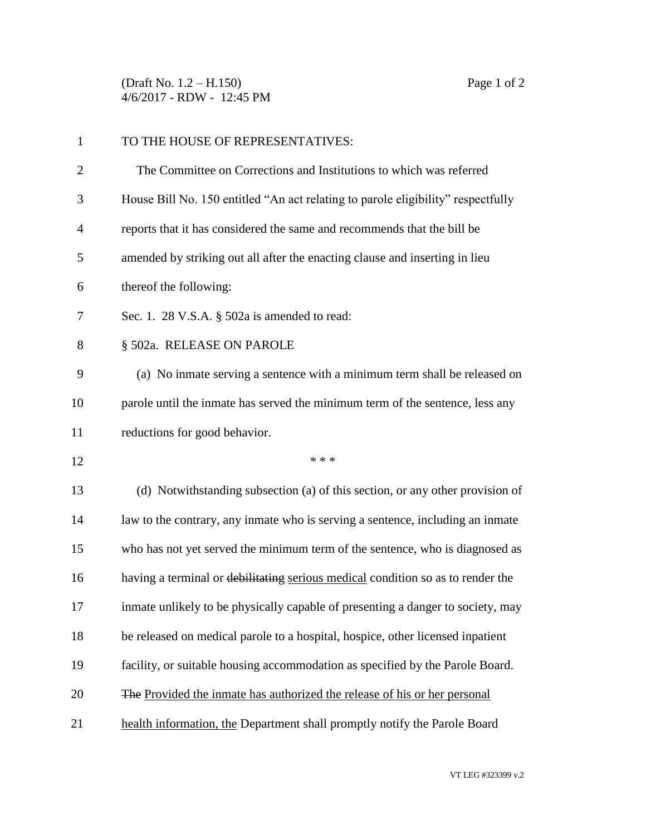(Draft No. 1.2 – H.150) Page 1 of 2 4/6/2017 - RDW - 12:45 PM

| $\mathbf{1}$   | TO THE HOUSE OF REPRESENTATIVES:                                                 |
|----------------|----------------------------------------------------------------------------------|
| $\overline{2}$ | The Committee on Corrections and Institutions to which was referred              |
| 3              | House Bill No. 150 entitled "An act relating to parole eligibility" respectfully |
| $\overline{4}$ | reports that it has considered the same and recommends that the bill be          |
| 5              | amended by striking out all after the enacting clause and inserting in lieu      |
| 6              | thereof the following:                                                           |
| 7              | Sec. 1. 28 V.S.A. $\S$ 502a is amended to read:                                  |
| 8              | § 502a. RELEASE ON PAROLE                                                        |
| 9              | (a) No inmate serving a sentence with a minimum term shall be released on        |
| 10             | parole until the inmate has served the minimum term of the sentence, less any    |
| 11             | reductions for good behavior.                                                    |
| 12             | * * *                                                                            |
| 13             | (d) Notwithstanding subsection (a) of this section, or any other provision of    |
| 14             | law to the contrary, any inmate who is serving a sentence, including an inmate   |
| 15             | who has not yet served the minimum term of the sentence, who is diagnosed as     |
| 16             | having a terminal or debilitating serious medical condition so as to render the  |
| 17             | inmate unlikely to be physically capable of presenting a danger to society, may  |
| 18             | be released on medical parole to a hospital, hospice, other licensed inpatient   |
| 19             | facility, or suitable housing accommodation as specified by the Parole Board.    |
| 20             | The Provided the inmate has authorized the release of his or her personal        |
| 21             | health information, the Department shall promptly notify the Parole Board        |